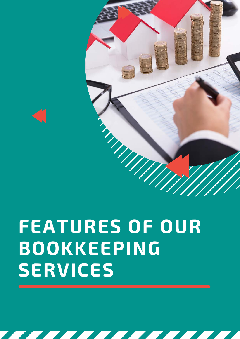# **FEATURES OF OUR BOOKKEEPING SERVICES**



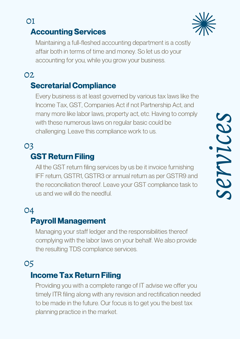# 01

# Accounting Services

Maintaining a full-fleshed accounting department is a costly affair both in terms of time and money. So let us do your accounting for you, while you grow your business.

#### 02

#### Secretarial Compliance

Every business is at least governed by various tax laws like the Income Tax, GST, Companies Act if not Partnership Act, and many more like labor laws, property act, etc. Having to comply with these numerous laws on regular basic could be challenging. Leave this compliance work to us.

#### GST Return Filing 03

All the GST return filing services by us be it invoice furnishing IFF return, GSTR1, GSTR3 or annual return as per GSTR9 and the reconciliation thereof. Leave your GST compliance task to with these numerous laws on regular basic could be<br>challenging. Leave this compliance work to us.<br>**ST Return Filing**<br>All the GST return filing services by us be it invoice furnishing<br>IFF return, GSTR1, GSTR3 or annual retu

## 04

#### Payroll Management

Managing your staff ledger and the responsibilities thereof complying with the labor laws on your behalf. We also provide the resulting TDS compliance services.

## 05

#### Income Tax Return Filing

Providing you with a complete range of IT advise we offer you timely ITR filing along with any revision and rectification needed to be made in the future. Our focus is to get you the best tax planning practice in the market.

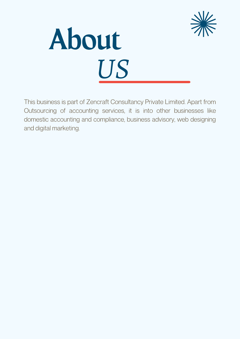



This business is part of Zencraft Consultancy Private Limited. Apart from Outsourcing of accounting services, it is into other businesses like domestic accounting and compliance, business advisory, web designing and digital marketing.